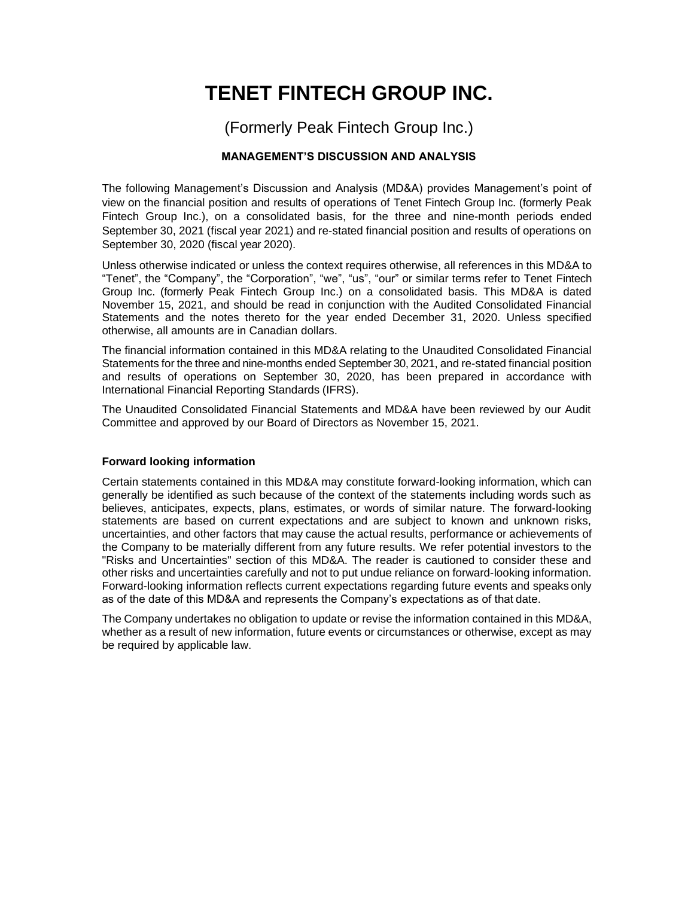# **TENET FINTECH GROUP INC.**

(Formerly Peak Fintech Group Inc.)

# **MANAGEMENT'S DISCUSSION AND ANALYSIS**

The following Management's Discussion and Analysis (MD&A) provides Management's point of view on the financial position and results of operations of Tenet Fintech Group Inc. (formerly Peak Fintech Group Inc.), on a consolidated basis, for the three and nine-month periods ended September 30, 2021 (fiscal year 2021) and re-stated financial position and results of operations on September 30, 2020 (fiscal year 2020).

Unless otherwise indicated or unless the context requires otherwise, all references in this MD&A to "Tenet", the "Company", the "Corporation", "we", "us", "our" or similar terms refer to Tenet Fintech Group Inc. (formerly Peak Fintech Group Inc.) on a consolidated basis. This MD&A is dated November 15, 2021, and should be read in conjunction with the Audited Consolidated Financial Statements and the notes thereto for the year ended December 31, 2020. Unless specified otherwise, all amounts are in Canadian dollars.

The financial information contained in this MD&A relating to the Unaudited Consolidated Financial Statements for the three and nine-months ended September 30, 2021, and re-stated financial position and results of operations on September 30, 2020, has been prepared in accordance with International Financial Reporting Standards (IFRS).

The Unaudited Consolidated Financial Statements and MD&A have been reviewed by our Audit Committee and approved by our Board of Directors as November 15, 2021.

# **Forward looking information**

Certain statements contained in this MD&A may constitute forward-looking information, which can generally be identified as such because of the context of the statements including words such as believes, anticipates, expects, plans, estimates, or words of similar nature. The forward-looking statements are based on current expectations and are subject to known and unknown risks, uncertainties, and other factors that may cause the actual results, performance or achievements of the Company to be materially different from any future results. We refer potential investors to the "Risks and Uncertainties" section of this MD&A. The reader is cautioned to consider these and other risks and uncertainties carefully and not to put undue reliance on forward-looking information. Forward-looking information reflects current expectations regarding future events and speaks only as of the date of this MD&A and represents the Company's expectations as of that date.

The Company undertakes no obligation to update or revise the information contained in this MD&A, whether as a result of new information, future events or circumstances or otherwise, except as may be required by applicable law.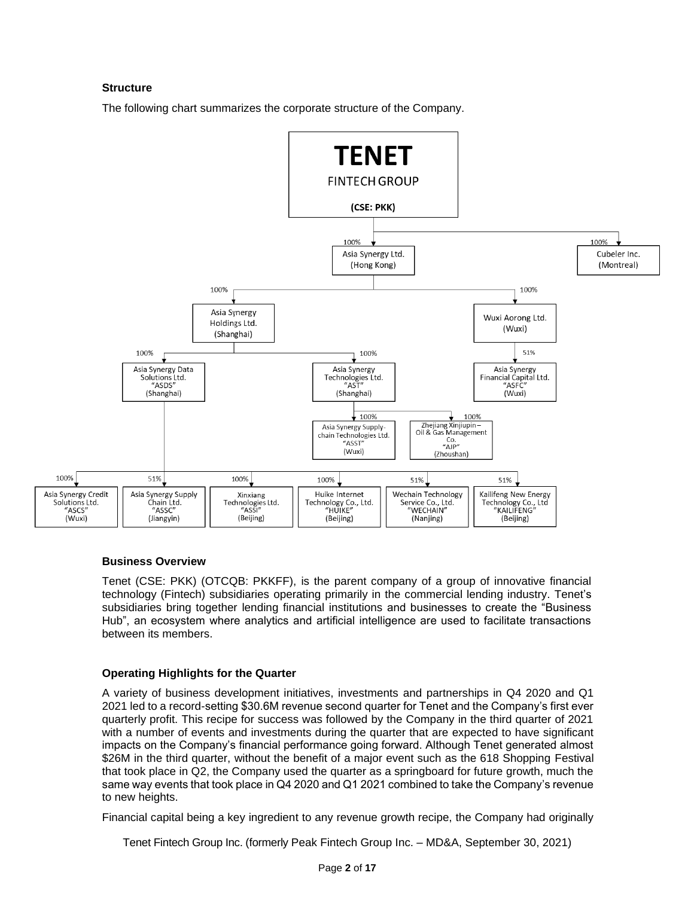# **Structure**

The following chart summarizes the corporate structure of the Company.



#### **Business Overview**

Tenet (CSE: PKK) (OTCQB: PKKFF), is the parent company of a group of innovative financial technology (Fintech) subsidiaries operating primarily in the commercial lending industry. Tenet's subsidiaries bring together lending financial institutions and businesses to create the "Business Hub", an ecosystem where analytics and artificial intelligence are used to facilitate transactions between its members.

# **Operating Highlights for the Quarter**

A variety of business development initiatives, investments and partnerships in Q4 2020 and Q1 2021 led to a record-setting \$30.6M revenue second quarter for Tenet and the Company's first ever quarterly profit. This recipe for success was followed by the Company in the third quarter of 2021 with a number of events and investments during the quarter that are expected to have significant impacts on the Company's financial performance going forward. Although Tenet generated almost \$26M in the third quarter, without the benefit of a major event such as the 618 Shopping Festival that took place in Q2, the Company used the quarter as a springboard for future growth, much the same way events that took place in Q4 2020 and Q1 2021 combined to take the Company's revenue to new heights.

Financial capital being a key ingredient to any revenue growth recipe, the Company had originally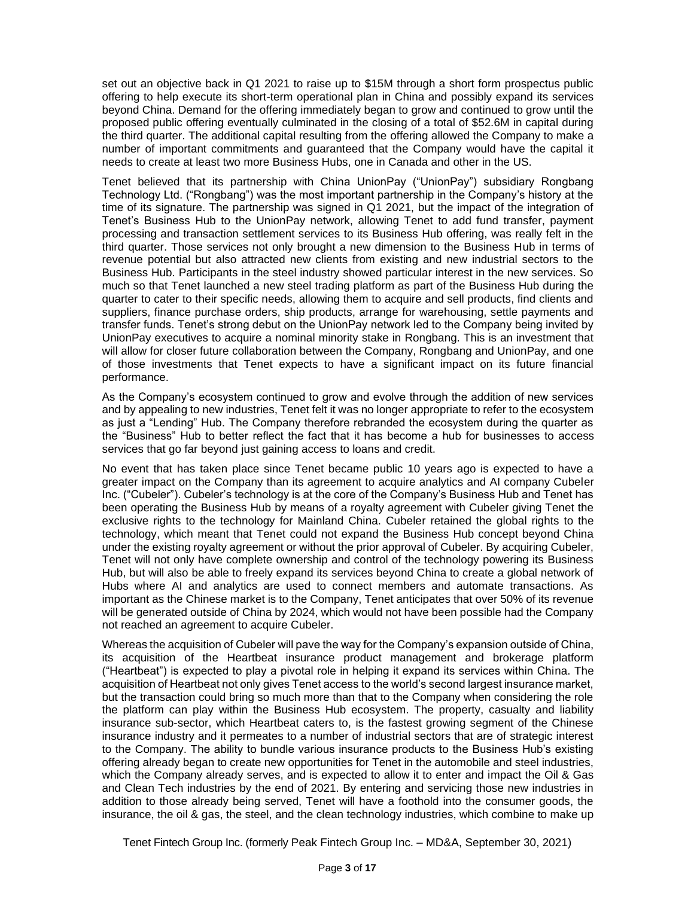set out an objective back in Q1 2021 to raise up to \$15M through a short form prospectus public offering to help execute its short-term operational plan in China and possibly expand its services beyond China. Demand for the offering immediately began to grow and continued to grow until the proposed public offering eventually culminated in the closing of a total of \$52.6M in capital during the third quarter. The additional capital resulting from the offering allowed the Company to make a number of important commitments and guaranteed that the Company would have the capital it needs to create at least two more Business Hubs, one in Canada and other in the US.

Tenet believed that its partnership with China UnionPay ("UnionPay") subsidiary Rongbang Technology Ltd. ("Rongbang") was the most important partnership in the Company's history at the time of its signature. The partnership was signed in Q1 2021, but the impact of the integration of Tenet's Business Hub to the UnionPay network, allowing Tenet to add fund transfer, payment processing and transaction settlement services to its Business Hub offering, was really felt in the third quarter. Those services not only brought a new dimension to the Business Hub in terms of revenue potential but also attracted new clients from existing and new industrial sectors to the Business Hub. Participants in the steel industry showed particular interest in the new services. So much so that Tenet launched a new steel trading platform as part of the Business Hub during the quarter to cater to their specific needs, allowing them to acquire and sell products, find clients and suppliers, finance purchase orders, ship products, arrange for warehousing, settle payments and transfer funds. Tenet's strong debut on the UnionPay network led to the Company being invited by UnionPay executives to acquire a nominal minority stake in Rongbang. This is an investment that will allow for closer future collaboration between the Company, Rongbang and UnionPay, and one of those investments that Tenet expects to have a significant impact on its future financial performance.

As the Company's ecosystem continued to grow and evolve through the addition of new services and by appealing to new industries, Tenet felt it was no longer appropriate to refer to the ecosystem as just a "Lending" Hub. The Company therefore rebranded the ecosystem during the quarter as the "Business" Hub to better reflect the fact that it has become a hub for businesses to access services that go far beyond just gaining access to loans and credit.

No event that has taken place since Tenet became public 10 years ago is expected to have a greater impact on the Company than its agreement to acquire analytics and AI company Cubeler Inc. ("Cubeler"). Cubeler's technology is at the core of the Company's Business Hub and Tenet has been operating the Business Hub by means of a royalty agreement with Cubeler giving Tenet the exclusive rights to the technology for Mainland China. Cubeler retained the global rights to the technology, which meant that Tenet could not expand the Business Hub concept beyond China under the existing royalty agreement or without the prior approval of Cubeler. By acquiring Cubeler, Tenet will not only have complete ownership and control of the technology powering its Business Hub, but will also be able to freely expand its services beyond China to create a global network of Hubs where AI and analytics are used to connect members and automate transactions. As important as the Chinese market is to the Company, Tenet anticipates that over 50% of its revenue will be generated outside of China by 2024, which would not have been possible had the Company not reached an agreement to acquire Cubeler.

Whereas the acquisition of Cubeler will pave the way for the Company's expansion outside of China, its acquisition of the Heartbeat insurance product management and brokerage platform ("Heartbeat") is expected to play a pivotal role in helping it expand its services within China. The acquisition of Heartbeat not only gives Tenet access to the world's second largest insurance market, but the transaction could bring so much more than that to the Company when considering the role the platform can play within the Business Hub ecosystem. The property, casualty and liability insurance sub-sector, which Heartbeat caters to, is the fastest growing segment of the Chinese insurance industry and it permeates to a number of industrial sectors that are of strategic interest to the Company. The ability to bundle various insurance products to the Business Hub's existing offering already began to create new opportunities for Tenet in the automobile and steel industries, which the Company already serves, and is expected to allow it to enter and impact the Oil & Gas and Clean Tech industries by the end of 2021. By entering and servicing those new industries in addition to those already being served, Tenet will have a foothold into the consumer goods, the insurance, the oil & gas, the steel, and the clean technology industries, which combine to make up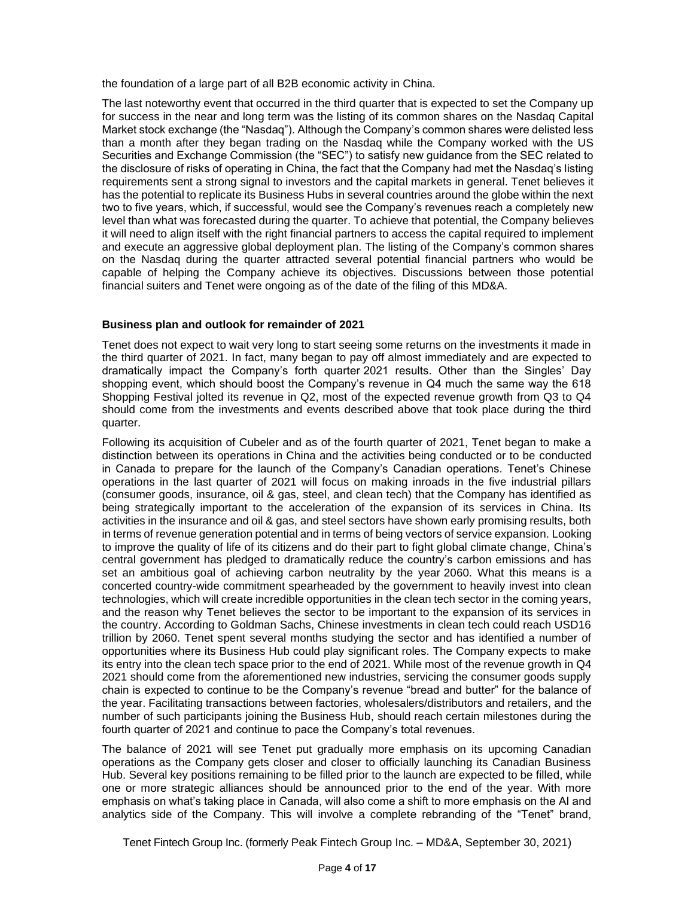the foundation of a large part of all B2B economic activity in China.

The last noteworthy event that occurred in the third quarter that is expected to set the Company up for success in the near and long term was the listing of its common shares on the Nasdaq Capital Market stock exchange (the "Nasdaq"). Although the Company's common shares were delisted less than a month after they began trading on the Nasdaq while the Company worked with the US Securities and Exchange Commission (the "SEC") to satisfy new guidance from the SEC related to the disclosure of risks of operating in China, the fact that the Company had met the Nasdaq's listing requirements sent a strong signal to investors and the capital markets in general. Tenet believes it has the potential to replicate its Business Hubs in several countries around the globe within the next two to five years, which, if successful, would see the Company's revenues reach a completely new level than what was forecasted during the quarter. To achieve that potential, the Company believes it will need to align itself with the right financial partners to access the capital required to implement and execute an aggressive global deployment plan. The listing of the Company's common shares on the Nasdaq during the quarter attracted several potential financial partners who would be capable of helping the Company achieve its objectives. Discussions between those potential financial suiters and Tenet were ongoing as of the date of the filing of this MD&A.

### **Business plan and outlook for remainder of 2021**

Tenet does not expect to wait very long to start seeing some returns on the investments it made in the third quarter of 2021. In fact, many began to pay off almost immediately and are expected to dramatically impact the Company's forth quarter 2021 results. Other than the Singles' Day shopping event, which should boost the Company's revenue in Q4 much the same way the 618 Shopping Festival jolted its revenue in Q2, most of the expected revenue growth from Q3 to Q4 should come from the investments and events described above that took place during the third quarter.

Following its acquisition of Cubeler and as of the fourth quarter of 2021, Tenet began to make a distinction between its operations in China and the activities being conducted or to be conducted in Canada to prepare for the launch of the Company's Canadian operations. Tenet's Chinese operations in the last quarter of 2021 will focus on making inroads in the five industrial pillars (consumer goods, insurance, oil & gas, steel, and clean tech) that the Company has identified as being strategically important to the acceleration of the expansion of its services in China. Its activities in the insurance and oil & gas, and steel sectors have shown early promising results, both in terms of revenue generation potential and in terms of being vectors of service expansion. Looking to improve the quality of life of its citizens and do their part to fight global climate change, China's central government has pledged to dramatically reduce the country's carbon emissions and has set an ambitious goal of achieving carbon neutrality by the year 2060. What this means is a concerted country-wide commitment spearheaded by the government to heavily invest into clean technologies, which will create incredible opportunities in the clean tech sector in the coming years, and the reason why Tenet believes the sector to be important to the expansion of its services in the country. According to Goldman Sachs, Chinese investments in clean tech could reach USD16 trillion by 2060. Tenet spent several months studying the sector and has identified a number of opportunities where its Business Hub could play significant roles. The Company expects to make its entry into the clean tech space prior to the end of 2021. While most of the revenue growth in Q4 2021 should come from the aforementioned new industries, servicing the consumer goods supply chain is expected to continue to be the Company's revenue "bread and butter" for the balance of the year. Facilitating transactions between factories, wholesalers/distributors and retailers, and the number of such participants joining the Business Hub, should reach certain milestones during the fourth quarter of 2021 and continue to pace the Company's total revenues.

The balance of 2021 will see Tenet put gradually more emphasis on its upcoming Canadian operations as the Company gets closer and closer to officially launching its Canadian Business Hub. Several key positions remaining to be filled prior to the launch are expected to be filled, while one or more strategic alliances should be announced prior to the end of the year. With more emphasis on what's taking place in Canada, will also come a shift to more emphasis on the AI and analytics side of the Company. This will involve a complete rebranding of the "Tenet" brand,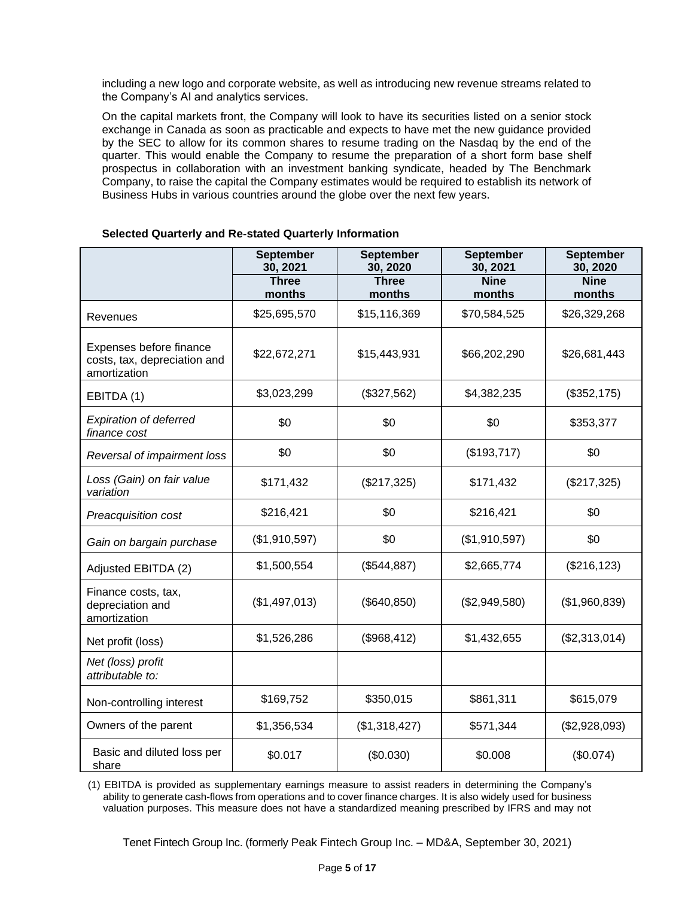including a new logo and corporate website, as well as introducing new revenue streams related to the Company's AI and analytics services.

On the capital markets front, the Company will look to have its securities listed on a senior stock exchange in Canada as soon as practicable and expects to have met the new guidance provided by the SEC to allow for its common shares to resume trading on the Nasdaq by the end of the quarter. This would enable the Company to resume the preparation of a short form base shelf prospectus in collaboration with an investment banking syndicate, headed by The Benchmark Company, to raise the capital the Company estimates would be required to establish its network of Business Hubs in various countries around the globe over the next few years.

|                                                                         | <b>September</b><br>30, 2021 | <b>September</b><br>30, 2020 | <b>September</b><br>30, 2021 | <b>September</b><br>30, 2020 |
|-------------------------------------------------------------------------|------------------------------|------------------------------|------------------------------|------------------------------|
|                                                                         | <b>Three</b><br>months       | <b>Three</b><br>months       | <b>Nine</b><br>months        | <b>Nine</b><br>months        |
| Revenues                                                                | \$25,695,570                 | \$15,116,369                 | \$70,584,525                 | \$26,329,268                 |
| Expenses before finance<br>costs, tax, depreciation and<br>amortization | \$22,672,271                 | \$15,443,931                 | \$66,202,290                 | \$26,681,443                 |
| EBITDA (1)                                                              | \$3,023,299                  | (\$327,562)                  | \$4,382,235                  | (\$352, 175)                 |
| <b>Expiration of deferred</b><br>finance cost                           | \$0                          | \$0                          | \$0                          | \$353,377                    |
| Reversal of impairment loss                                             | \$0                          | \$0                          | (\$193,717)                  | \$0                          |
| Loss (Gain) on fair value<br>variation                                  | \$171,432                    | (\$217,325)                  | \$171,432                    | (\$217,325)                  |
| Preacquisition cost                                                     | \$216,421                    | \$0                          | \$216,421                    | \$0                          |
| Gain on bargain purchase                                                | (\$1,910,597)                | \$0                          | (\$1,910,597)                | \$0                          |
| Adjusted EBITDA (2)                                                     | \$1,500,554                  | (\$544,887)                  | \$2,665,774                  | (\$216, 123)                 |
| Finance costs, tax,<br>depreciation and<br>amortization                 | (\$1,497,013)                | (\$640, 850)                 | (\$2,949,580)                | (\$1,960,839)                |
| Net profit (loss)                                                       | \$1,526,286                  | (\$968,412)                  | \$1,432,655                  | (\$2,313,014)                |
| Net (loss) profit<br>attributable to:                                   |                              |                              |                              |                              |
| Non-controlling interest                                                | \$169,752                    | \$350,015                    | \$861,311                    | \$615,079                    |
| Owners of the parent                                                    | \$1,356,534                  | (\$1,318,427)                | \$571,344                    | (\$2,928,093)                |
| Basic and diluted loss per<br>share                                     | \$0.017                      | (\$0.030)                    | \$0.008                      | (\$0.074)                    |

#### **Selected Quarterly and Re-stated Quarterly Information**

(1) EBITDA is provided as supplementary earnings measure to assist readers in determining the Company's ability to generate cash-flows from operations and to cover finance charges. It is also widely used for business valuation purposes. This measure does not have a standardized meaning prescribed by IFRS and may not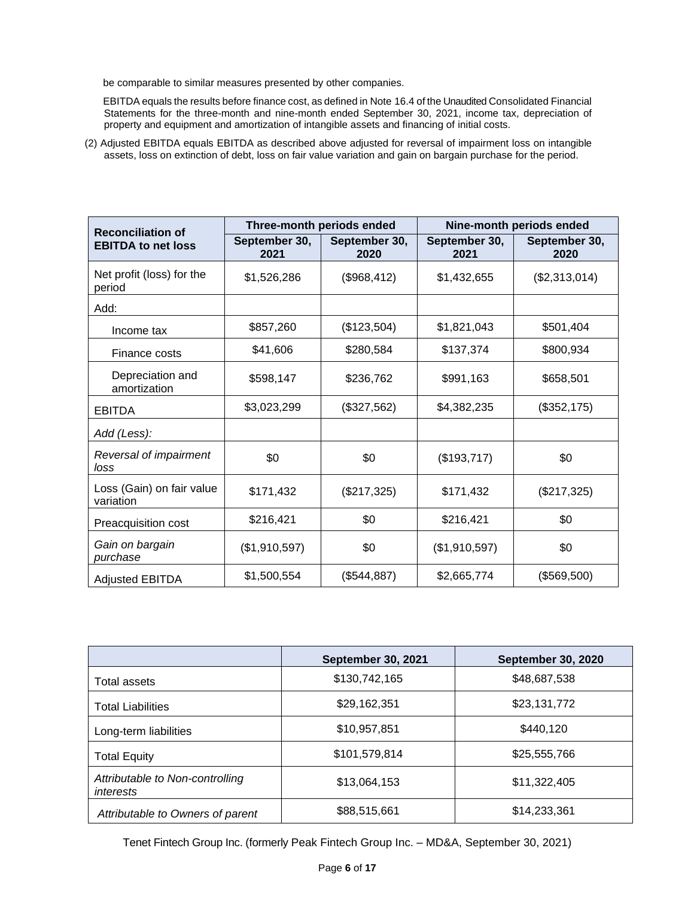be comparable to similar measures presented by other companies.

EBITDA equals the results before finance cost, as defined in Note 16.4 of the Unaudited Consolidated Financial Statements for the three-month and nine-month ended September 30, 2021, income tax, depreciation of property and equipment and amortization of intangible assets and financing of initial costs.

(2) Adjusted EBITDA equals EBITDA as described above adjusted for reversal of impairment loss on intangible assets, loss on extinction of debt, loss on fair value variation and gain on bargain purchase for the period.

| <b>Reconciliation of</b>               |                       | Three-month periods ended | Nine-month periods ended |                       |  |
|----------------------------------------|-----------------------|---------------------------|--------------------------|-----------------------|--|
| <b>EBITDA to net loss</b>              | September 30,<br>2021 | September 30,<br>2020     | September 30,<br>2021    | September 30,<br>2020 |  |
| Net profit (loss) for the<br>period    | \$1,526,286           | (\$968,412)               | \$1,432,655              | (\$2,313,014)         |  |
| Add:                                   |                       |                           |                          |                       |  |
| Income tax                             | \$857,260             | (\$123,504)               | \$1,821,043              | \$501,404             |  |
| Finance costs                          | \$41,606              | \$280,584                 | \$137,374                | \$800,934             |  |
| Depreciation and<br>amortization       | \$598,147             | \$236,762                 | \$991,163                | \$658,501             |  |
| <b>EBITDA</b>                          | \$3,023,299           | (\$327,562)               | \$4,382,235              | (\$352, 175)          |  |
| Add (Less):                            |                       |                           |                          |                       |  |
| Reversal of impairment<br>loss         | \$0                   | \$0                       | (\$193,717)              | \$0                   |  |
| Loss (Gain) on fair value<br>variation | \$171,432             | (\$217,325)               | \$171,432                | (\$217,325)           |  |
| Preacquisition cost                    | \$216,421             | \$0                       | \$216,421                | \$0                   |  |
| Gain on bargain<br>purchase            | (\$1,910,597)         | \$0                       | (\$1,910,597)            | \$0                   |  |
| <b>Adjusted EBITDA</b>                 | \$1,500,554           | (\$544,887)               | \$2,665,774              | (\$569,500)           |  |

|                                              | <b>September 30, 2021</b> | <b>September 30, 2020</b> |
|----------------------------------------------|---------------------------|---------------------------|
| Total assets                                 | \$130,742,165             | \$48,687,538              |
| <b>Total Liabilities</b>                     | \$29,162,351              | \$23,131,772              |
| Long-term liabilities                        | \$10,957,851              | \$440,120                 |
| <b>Total Equity</b>                          | \$101,579,814             | \$25,555,766              |
| Attributable to Non-controlling<br>interests | \$13,064,153              | \$11,322,405              |
| Attributable to Owners of parent             | \$88,515,661              | \$14,233,361              |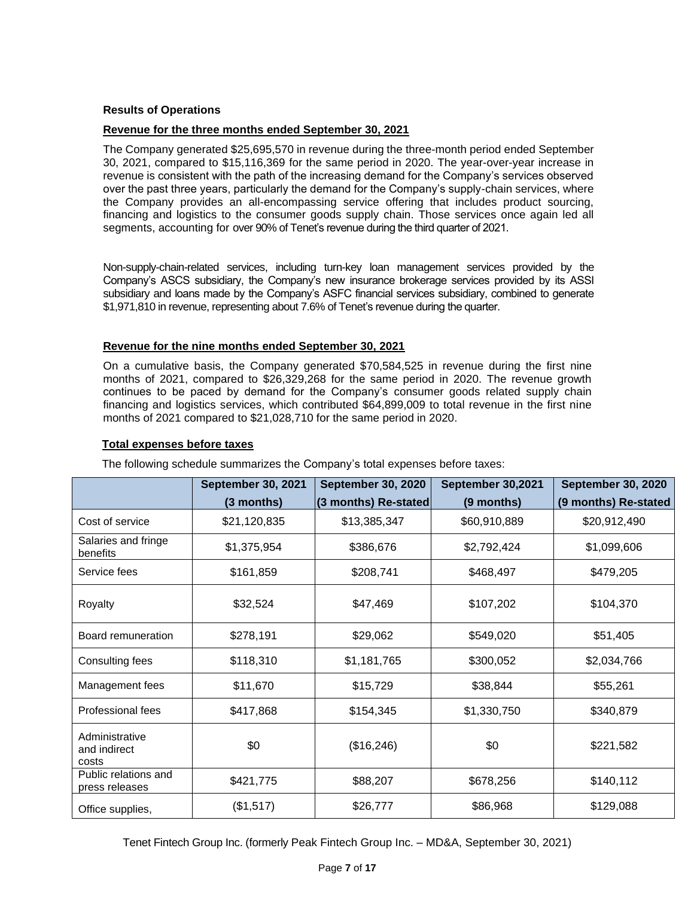### **Results of Operations**

#### **Revenue for the three months ended September 30, 2021**

The Company generated \$25,695,570 in revenue during the three-month period ended September 30, 2021, compared to \$15,116,369 for the same period in 2020. The year-over-year increase in revenue is consistent with the path of the increasing demand for the Company's services observed over the past three years, particularly the demand for the Company's supply-chain services, where the Company provides an all-encompassing service offering that includes product sourcing, financing and logistics to the consumer goods supply chain. Those services once again led all segments, accounting for over 90% of Tenet's revenue during the third quarter of 2021.

Non-supply-chain-related services, including turn-key loan management services provided by the Company's ASCS subsidiary, the Company's new insurance brokerage services provided by its ASSI subsidiary and loans made by the Company's ASFC financial services subsidiary, combined to generate \$1,971,810 in revenue, representing about 7.6% of Tenet's revenue during the quarter.

#### **Revenue for the nine months ended September 30, 2021**

On a cumulative basis, the Company generated \$70,584,525 in revenue during the first nine months of 2021, compared to \$26,329,268 for the same period in 2020. The revenue growth continues to be paced by demand for the Company's consumer goods related supply chain financing and logistics services, which contributed \$64,899,009 to total revenue in the first nine months of 2021 compared to \$21,028,710 for the same period in 2020.

### **Total expenses before taxes**

The following schedule summarizes the Company's total expenses before taxes:

|                                         | <b>September 30, 2021</b> | <b>September 30, 2020</b> | September 30,2021 | <b>September 30, 2020</b> |
|-----------------------------------------|---------------------------|---------------------------|-------------------|---------------------------|
|                                         | $(3$ months)              | (3 months) Re-stated      | (9 months)        | (9 months) Re-stated      |
| Cost of service                         | \$21,120,835              | \$13,385,347              | \$60,910,889      | \$20,912,490              |
| Salaries and fringe<br>benefits         | \$1,375,954               | \$386,676                 | \$2,792,424       | \$1,099,606               |
| Service fees                            | \$161,859                 | \$208,741                 | \$468,497         | \$479,205                 |
| Royalty                                 | \$32,524                  | \$47,469                  | \$107,202         | \$104,370                 |
| Board remuneration                      | \$278,191                 | \$29,062                  | \$549,020         | \$51,405                  |
| Consulting fees                         | \$118,310                 | \$1,181,765               | \$300,052         | \$2,034,766               |
| Management fees                         | \$11,670                  | \$15,729                  | \$38,844          | \$55,261                  |
| Professional fees                       | \$417,868                 | \$154,345                 | \$1,330,750       | \$340,879                 |
| Administrative<br>and indirect<br>costs | \$0                       | (\$16,246)                | \$0               | \$221,582                 |
| Public relations and<br>press releases  | \$421,775                 | \$88,207                  | \$678,256         | \$140,112                 |
| Office supplies,                        | (\$1,517)                 | \$26,777                  | \$86,968          | \$129,088                 |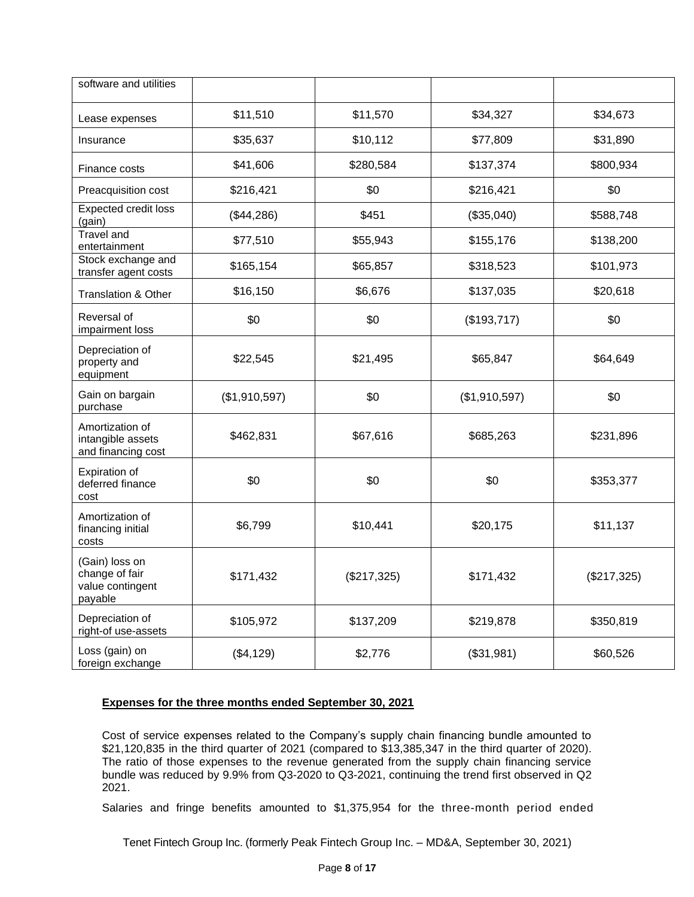| software and utilities                                          |               |             |               |             |
|-----------------------------------------------------------------|---------------|-------------|---------------|-------------|
| Lease expenses                                                  | \$11,510      | \$11,570    | \$34,327      | \$34,673    |
| Insurance                                                       | \$35,637      | \$10,112    | \$77,809      | \$31,890    |
| Finance costs                                                   | \$41,606      | \$280,584   | \$137,374     | \$800,934   |
| Preacquisition cost                                             | \$216,421     | \$0         | \$216,421     | \$0         |
| Expected credit loss<br>(gain)                                  | (\$44,286)    | \$451       | (\$35,040)    | \$588,748   |
| Travel and<br>entertainment                                     | \$77,510      | \$55,943    | \$155,176     | \$138,200   |
| Stock exchange and<br>transfer agent costs                      | \$165,154     | \$65,857    | \$318,523     | \$101,973   |
| <b>Translation &amp; Other</b>                                  | \$16,150      | \$6,676     | \$137,035     | \$20,618    |
| Reversal of<br>impairment loss                                  | \$0           | \$0         | (\$193,717)   | \$0         |
| Depreciation of<br>property and<br>equipment                    | \$22,545      | \$21,495    | \$65,847      | \$64,649    |
| Gain on bargain<br>purchase                                     | (\$1,910,597) | \$0         | (\$1,910,597) | \$0         |
| Amortization of<br>intangible assets<br>and financing cost      | \$462,831     | \$67,616    | \$685,263     | \$231,896   |
| Expiration of<br>deferred finance<br>cost                       | \$0           | \$0         | \$0           | \$353,377   |
| Amortization of<br>financing initial<br>costs                   | \$6,799       | \$10,441    | \$20,175      | \$11,137    |
| (Gain) loss on<br>change of fair<br>value contingent<br>payable | \$171,432     | (\$217,325) | \$171,432     | (\$217,325) |
| Depreciation of<br>right-of use-assets                          | \$105,972     | \$137,209   | \$219,878     | \$350,819   |
| Loss (gain) on<br>foreign exchange                              | (\$4,129)     | \$2,776     | (\$31,981)    | \$60,526    |

# **Expenses for the three months ended September 30, 2021**

Cost of service expenses related to the Company's supply chain financing bundle amounted to \$21,120,835 in the third quarter of 2021 (compared to \$13,385,347 in the third quarter of 2020). The ratio of those expenses to the revenue generated from the supply chain financing service bundle was reduced by 9.9% from Q3-2020 to Q3-2021, continuing the trend first observed in Q2 2021.

Salaries and fringe benefits amounted to \$1,375,954 for the three-month period ended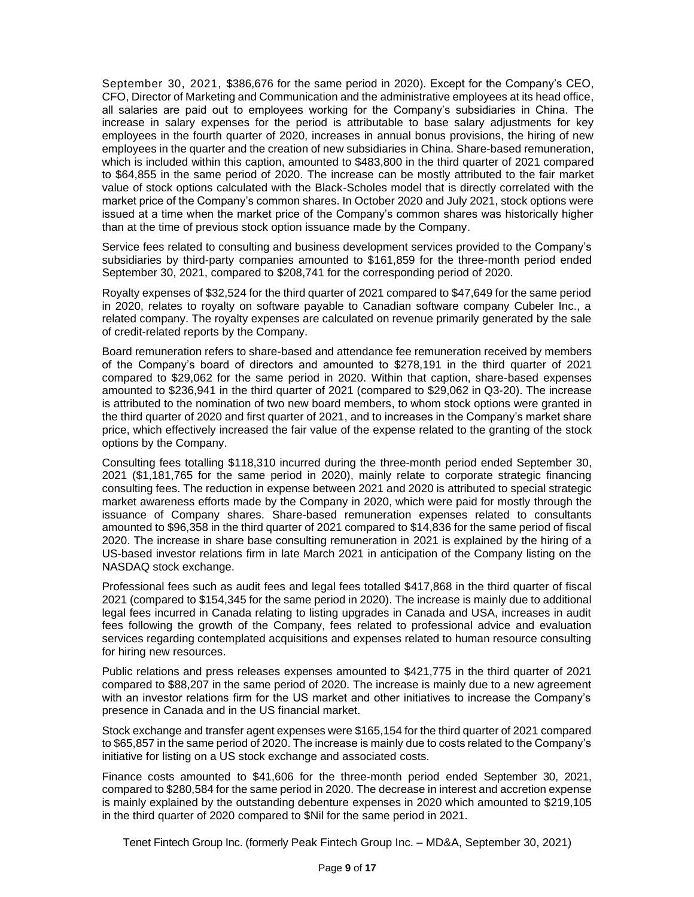September 30, 2021, \$386,676 for the same period in 2020). Except for the Company's CEO, CFO, Director of Marketing and Communication and the administrative employees at its head office, all salaries are paid out to employees working for the Company's subsidiaries in China. The increase in salary expenses for the period is attributable to base salary adjustments for key employees in the fourth quarter of 2020, increases in annual bonus provisions, the hiring of new employees in the quarter and the creation of new subsidiaries in China. Share-based remuneration, which is included within this caption, amounted to \$483,800 in the third quarter of 2021 compared to \$64,855 in the same period of 2020. The increase can be mostly attributed to the fair market value of stock options calculated with the Black-Scholes model that is directly correlated with the market price of the Company's common shares. In October 2020 and July 2021, stock options were issued at a time when the market price of the Company's common shares was historically higher than at the time of previous stock option issuance made by the Company.

Service fees related to consulting and business development services provided to the Company's subsidiaries by third-party companies amounted to \$161,859 for the three-month period ended September 30, 2021, compared to \$208,741 for the corresponding period of 2020.

Royalty expenses of \$32,524 for the third quarter of 2021 compared to \$47,649 for the same period in 2020, relates to royalty on software payable to Canadian software company Cubeler Inc., a related company. The royalty expenses are calculated on revenue primarily generated by the sale of credit-related reports by the Company.

Board remuneration refers to share-based and attendance fee remuneration received by members of the Company's board of directors and amounted to \$278,191 in the third quarter of 2021 compared to \$29,062 for the same period in 2020. Within that caption, share-based expenses amounted to \$236,941 in the third quarter of 2021 (compared to \$29,062 in Q3-20). The increase is attributed to the nomination of two new board members, to whom stock options were granted in the third quarter of 2020 and first quarter of 2021, and to increases in the Company's market share price, which effectively increased the fair value of the expense related to the granting of the stock options by the Company.

Consulting fees totalling \$118,310 incurred during the three-month period ended September 30, 2021 (\$1,181,765 for the same period in 2020), mainly relate to corporate strategic financing consulting fees. The reduction in expense between 2021 and 2020 is attributed to special strategic market awareness efforts made by the Company in 2020, which were paid for mostly through the issuance of Company shares. Share-based remuneration expenses related to consultants amounted to \$96,358 in the third quarter of 2021 compared to \$14,836 for the same period of fiscal 2020. The increase in share base consulting remuneration in 2021 is explained by the hiring of a US-based investor relations firm in late March 2021 in anticipation of the Company listing on the NASDAQ stock exchange.

Professional fees such as audit fees and legal fees totalled \$417,868 in the third quarter of fiscal 2021 (compared to \$154,345 for the same period in 2020). The increase is mainly due to additional legal fees incurred in Canada relating to listing upgrades in Canada and USA, increases in audit fees following the growth of the Company, fees related to professional advice and evaluation services regarding contemplated acquisitions and expenses related to human resource consulting for hiring new resources.

Public relations and press releases expenses amounted to \$421,775 in the third quarter of 2021 compared to \$88,207 in the same period of 2020. The increase is mainly due to a new agreement with an investor relations firm for the US market and other initiatives to increase the Company's presence in Canada and in the US financial market.

Stock exchange and transfer agent expenses were \$165,154 for the third quarter of 2021 compared to \$65,857 in the same period of 2020. The increase is mainly due to costs related to the Company's initiative for listing on a US stock exchange and associated costs.

Finance costs amounted to \$41,606 for the three-month period ended September 30, 2021, compared to \$280,584 for the same period in 2020. The decrease in interest and accretion expense is mainly explained by the outstanding debenture expenses in 2020 which amounted to \$219,105 in the third quarter of 2020 compared to \$Nil for the same period in 2021.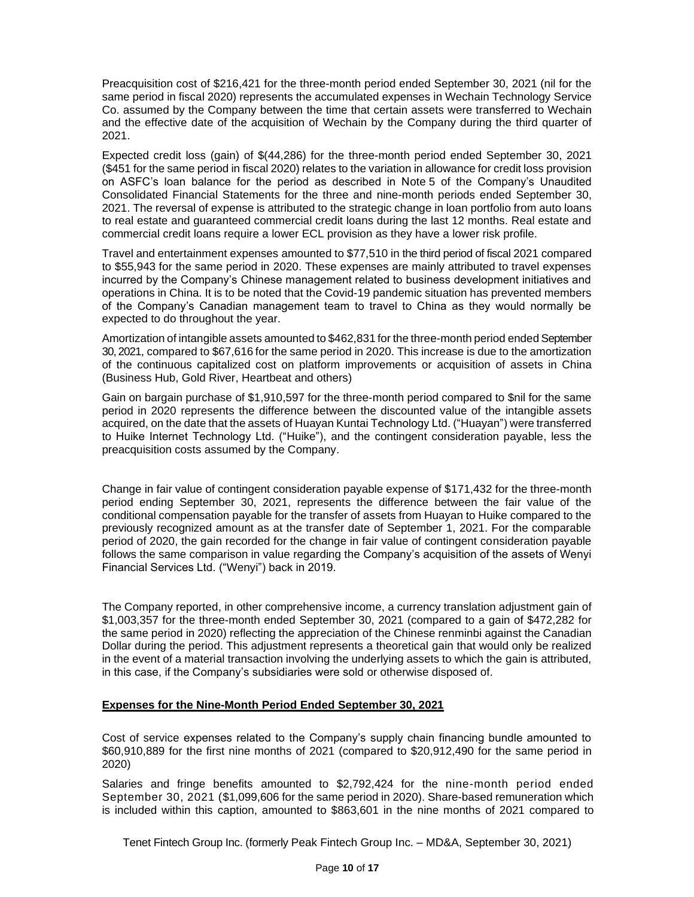Preacquisition cost of \$216,421 for the three-month period ended September 30, 2021 (nil for the same period in fiscal 2020) represents the accumulated expenses in Wechain Technology Service Co. assumed by the Company between the time that certain assets were transferred to Wechain and the effective date of the acquisition of Wechain by the Company during the third quarter of 2021.

Expected credit loss (gain) of \$(44,286) for the three-month period ended September 30, 2021 (\$451 for the same period in fiscal 2020) relates to the variation in allowance for credit loss provision on ASFC's loan balance for the period as described in Note 5 of the Company's Unaudited Consolidated Financial Statements for the three and nine-month periods ended September 30, 2021. The reversal of expense is attributed to the strategic change in loan portfolio from auto loans to real estate and guaranteed commercial credit loans during the last 12 months. Real estate and commercial credit loans require a lower ECL provision as they have a lower risk profile.

Travel and entertainment expenses amounted to \$77,510 in the third period of fiscal 2021 compared to \$55,943 for the same period in 2020. These expenses are mainly attributed to travel expenses incurred by the Company's Chinese management related to business development initiatives and operations in China. It is to be noted that the Covid-19 pandemic situation has prevented members of the Company's Canadian management team to travel to China as they would normally be expected to do throughout the year.

Amortization of intangible assets amounted to \$462,831 for the three-month period ended September 30, 2021, compared to \$67,616 for the same period in 2020. This increase is due to the amortization of the continuous capitalized cost on platform improvements or acquisition of assets in China (Business Hub, Gold River, Heartbeat and others)

Gain on bargain purchase of \$1,910,597 for the three-month period compared to \$nil for the same period in 2020 represents the difference between the discounted value of the intangible assets acquired, on the date that the assets of Huayan Kuntai Technology Ltd. ("Huayan") were transferred to Huike Internet Technology Ltd. ("Huike"), and the contingent consideration payable, less the preacquisition costs assumed by the Company.

Change in fair value of contingent consideration payable expense of \$171,432 for the three-month period ending September 30, 2021, represents the difference between the fair value of the conditional compensation payable for the transfer of assets from Huayan to Huike compared to the previously recognized amount as at the transfer date of September 1, 2021. For the comparable period of 2020, the gain recorded for the change in fair value of contingent consideration payable follows the same comparison in value regarding the Company's acquisition of the assets of Wenyi Financial Services Ltd. ("Wenyi") back in 2019.

The Company reported, in other comprehensive income, a currency translation adjustment gain of \$1,003,357 for the three-month ended September 30, 2021 (compared to a gain of \$472,282 for the same period in 2020) reflecting the appreciation of the Chinese renminbi against the Canadian Dollar during the period. This adjustment represents a theoretical gain that would only be realized in the event of a material transaction involving the underlying assets to which the gain is attributed, in this case, if the Company's subsidiaries were sold or otherwise disposed of.

# **Expenses for the Nine-Month Period Ended September 30, 2021**

Cost of service expenses related to the Company's supply chain financing bundle amounted to \$60,910,889 for the first nine months of 2021 (compared to \$20,912,490 for the same period in 2020)

Salaries and fringe benefits amounted to \$2,792,424 for the nine-month period ended September 30, 2021 (\$1,099,606 for the same period in 2020). Share-based remuneration which is included within this caption, amounted to \$863,601 in the nine months of 2021 compared to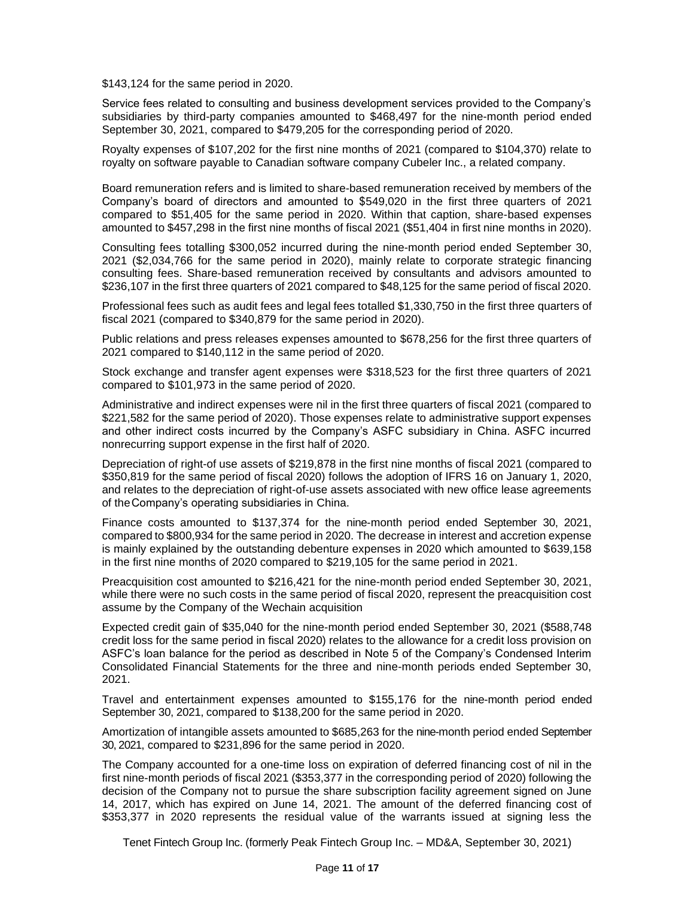\$143,124 for the same period in 2020.

Service fees related to consulting and business development services provided to the Company's subsidiaries by third-party companies amounted to \$468,497 for the nine-month period ended September 30, 2021, compared to \$479,205 for the corresponding period of 2020.

Royalty expenses of \$107,202 for the first nine months of 2021 (compared to \$104,370) relate to royalty on software payable to Canadian software company Cubeler Inc., a related company.

Board remuneration refers and is limited to share-based remuneration received by members of the Company's board of directors and amounted to \$549,020 in the first three quarters of 2021 compared to \$51,405 for the same period in 2020. Within that caption, share-based expenses amounted to \$457,298 in the first nine months of fiscal 2021 (\$51,404 in first nine months in 2020).

Consulting fees totalling \$300,052 incurred during the nine-month period ended September 30, 2021 (\$2,034,766 for the same period in 2020), mainly relate to corporate strategic financing consulting fees. Share-based remuneration received by consultants and advisors amounted to \$236,107 in the first three quarters of 2021 compared to \$48,125 for the same period of fiscal 2020.

Professional fees such as audit fees and legal fees totalled \$1,330,750 in the first three quarters of fiscal 2021 (compared to \$340,879 for the same period in 2020).

Public relations and press releases expenses amounted to \$678,256 for the first three quarters of 2021 compared to \$140,112 in the same period of 2020.

Stock exchange and transfer agent expenses were \$318,523 for the first three quarters of 2021 compared to \$101,973 in the same period of 2020.

Administrative and indirect expenses were nil in the first three quarters of fiscal 2021 (compared to \$221,582 for the same period of 2020). Those expenses relate to administrative support expenses and other indirect costs incurred by the Company's ASFC subsidiary in China. ASFC incurred nonrecurring support expense in the first half of 2020.

Depreciation of right-of use assets of \$219,878 in the first nine months of fiscal 2021 (compared to \$350,819 for the same period of fiscal 2020) follows the adoption of IFRS 16 on January 1, 2020, and relates to the depreciation of right-of-use assets associated with new office lease agreements of theCompany's operating subsidiaries in China.

Finance costs amounted to \$137,374 for the nine-month period ended September 30, 2021, compared to \$800,934 for the same period in 2020. The decrease in interest and accretion expense is mainly explained by the outstanding debenture expenses in 2020 which amounted to \$639,158 in the first nine months of 2020 compared to \$219,105 for the same period in 2021.

Preacquisition cost amounted to \$216,421 for the nine-month period ended September 30, 2021, while there were no such costs in the same period of fiscal 2020, represent the preacquisition cost assume by the Company of the Wechain acquisition

Expected credit gain of \$35,040 for the nine-month period ended September 30, 2021 (\$588,748 credit loss for the same period in fiscal 2020) relates to the allowance for a credit loss provision on ASFC's loan balance for the period as described in Note 5 of the Company's Condensed Interim Consolidated Financial Statements for the three and nine-month periods ended September 30, 2021.

Travel and entertainment expenses amounted to \$155,176 for the nine-month period ended September 30, 2021, compared to \$138,200 for the same period in 2020.

Amortization of intangible assets amounted to \$685,263 for the nine-month period ended September 30, 2021, compared to \$231,896 for the same period in 2020.

The Company accounted for a one-time loss on expiration of deferred financing cost of nil in the first nine-month periods of fiscal 2021 (\$353,377 in the corresponding period of 2020) following the decision of the Company not to pursue the share subscription facility agreement signed on June 14, 2017, which has expired on June 14, 2021. The amount of the deferred financing cost of \$353,377 in 2020 represents the residual value of the warrants issued at signing less the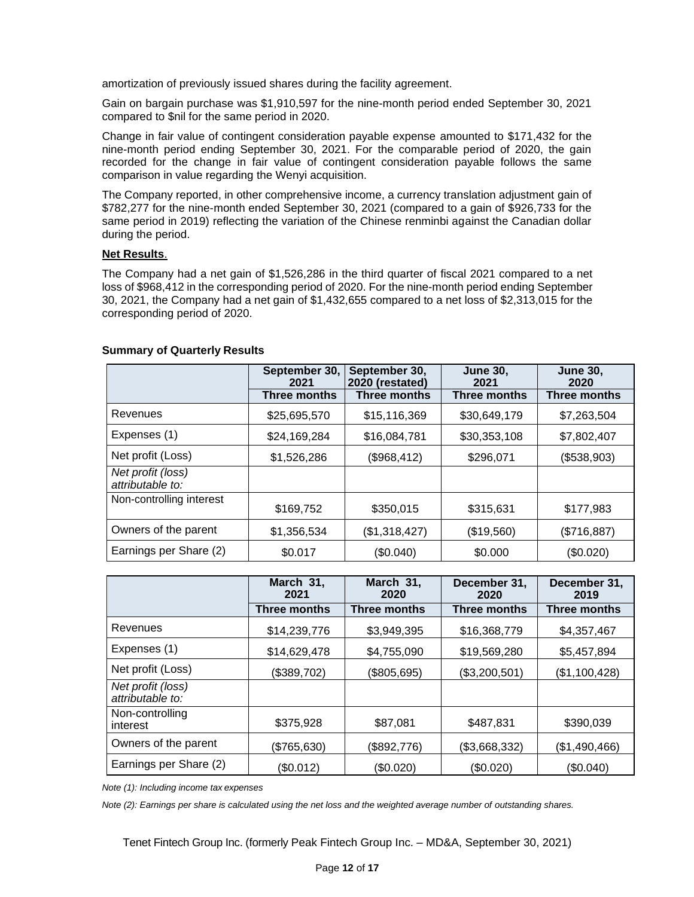amortization of previously issued shares during the facility agreement.

Gain on bargain purchase was \$1,910,597 for the nine-month period ended September 30, 2021 compared to \$nil for the same period in 2020.

Change in fair value of contingent consideration payable expense amounted to \$171,432 for the nine-month period ending September 30, 2021. For the comparable period of 2020, the gain recorded for the change in fair value of contingent consideration payable follows the same comparison in value regarding the Wenyi acquisition.

The Company reported, in other comprehensive income, a currency translation adjustment gain of \$782,277 for the nine-month ended September 30, 2021 (compared to a gain of \$926,733 for the same period in 2019) reflecting the variation of the Chinese renminbi against the Canadian dollar during the period.

#### **Net Results**.

The Company had a net gain of \$1,526,286 in the third quarter of fiscal 2021 compared to a net loss of \$968,412 in the corresponding period of 2020. For the nine-month period ending September 30, 2021, the Company had a net gain of \$1,432,655 compared to a net loss of \$2,313,015 for the corresponding period of 2020.

|                                       | September 30,<br>2021 | September 30,<br>2020 (restated) | <b>June 30,</b><br>2021 | <b>June 30,</b><br>2020 |
|---------------------------------------|-----------------------|----------------------------------|-------------------------|-------------------------|
|                                       | <b>Three months</b>   | Three months                     | Three months            | Three months            |
| Revenues                              | \$25,695,570          | \$15,116,369                     | \$30,649,179            | \$7,263,504             |
| Expenses (1)                          | \$24,169,284          | \$16,084,781                     | \$30,353,108            | \$7,802,407             |
| Net profit (Loss)                     | \$1,526,286           | (\$968,412)                      | \$296,071               | (\$538,903)             |
| Net profit (loss)<br>attributable to: |                       |                                  |                         |                         |
| Non-controlling interest              | \$169,752             | \$350,015                        | \$315,631               | \$177,983               |
| Owners of the parent                  | \$1,356,534           | (\$1,318,427)                    | (\$19,560)              | (\$716,887)             |
| Earnings per Share (2)                | \$0.017               | (\$0.040)                        | \$0.000                 | (\$0.020)               |

#### **Summary of Quarterly Results**

|                                       | March 31,<br>2021 | March 31,<br>2020   | December 31,<br>2020 | December 31,<br>2019 |
|---------------------------------------|-------------------|---------------------|----------------------|----------------------|
|                                       | Three months      | <b>Three months</b> | Three months         | Three months         |
| Revenues                              | \$14,239,776      | \$3,949,395         | \$16,368,779         | \$4,357,467          |
| Expenses (1)                          | \$14,629,478      | \$4,755,090         | \$19,569,280         | \$5,457,894          |
| Net profit (Loss)                     | (\$389,702)       | (\$805,695)         | (\$3,200,501)        | (\$1,100,428)        |
| Net profit (loss)<br>attributable to: |                   |                     |                      |                      |
| Non-controlling<br>interest           | \$375,928         | \$87,081            | \$487,831            | \$390,039            |
| Owners of the parent                  | (\$765,630)       | (\$892,776)         | (\$3,668,332)        | (\$1,490,466)        |
| Earnings per Share (2)                | (\$0.012)         | (\$0.020)           | (\$0.020)            | $(\$0.040)$          |

*Note (1): Including income tax expenses*

*Note (2): Earnings per share is calculated using the net loss and the weighted average number of outstanding shares.*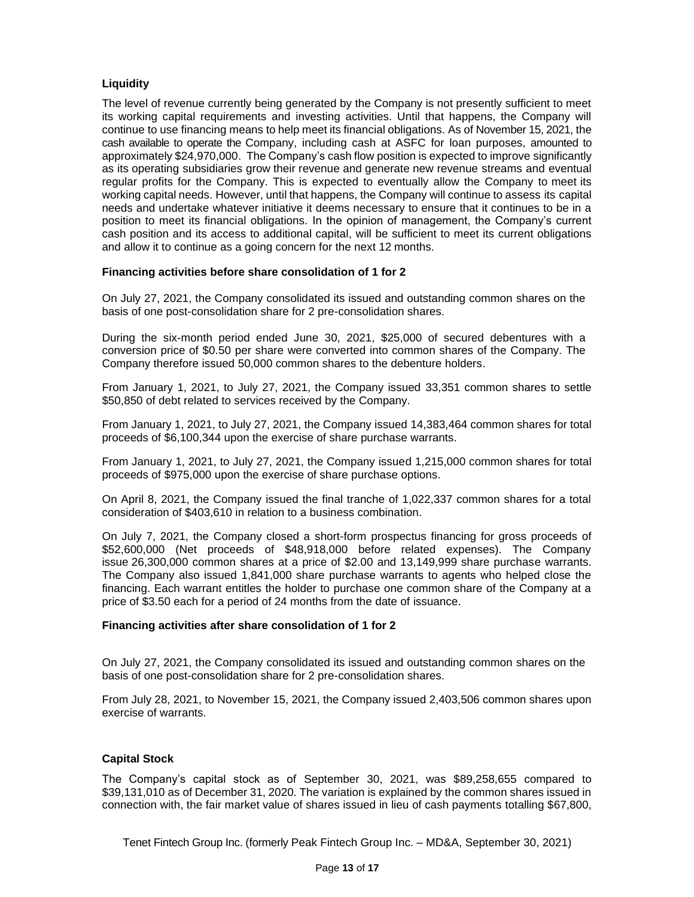# **Liquidity**

The level of revenue currently being generated by the Company is not presently sufficient to meet its working capital requirements and investing activities. Until that happens, the Company will continue to use financing means to help meet its financial obligations. As of November 15, 2021, the cash available to operate the Company, including cash at ASFC for loan purposes, amounted to approximately \$24,970,000. The Company's cash flow position is expected to improve significantly as its operating subsidiaries grow their revenue and generate new revenue streams and eventual regular profits for the Company. This is expected to eventually allow the Company to meet its working capital needs. However, until that happens, the Company will continue to assess its capital needs and undertake whatever initiative it deems necessary to ensure that it continues to be in a position to meet its financial obligations. In the opinion of management, the Company's current cash position and its access to additional capital, will be sufficient to meet its current obligations and allow it to continue as a going concern for the next 12 months.

### **Financing activities before share consolidation of 1 for 2**

On July 27, 2021, the Company consolidated its issued and outstanding common shares on the basis of one post-consolidation share for 2 pre-consolidation shares.

During the six-month period ended June 30, 2021, \$25,000 of secured debentures with a conversion price of \$0.50 per share were converted into common shares of the Company. The Company therefore issued 50,000 common shares to the debenture holders.

From January 1, 2021, to July 27, 2021, the Company issued 33,351 common shares to settle \$50,850 of debt related to services received by the Company.

From January 1, 2021, to July 27, 2021, the Company issued 14,383,464 common shares for total proceeds of \$6,100,344 upon the exercise of share purchase warrants.

From January 1, 2021, to July 27, 2021, the Company issued 1,215,000 common shares for total proceeds of \$975,000 upon the exercise of share purchase options.

On April 8, 2021, the Company issued the final tranche of 1,022,337 common shares for a total consideration of \$403,610 in relation to a business combination.

On July 7, 2021, the Company closed a short-form prospectus financing for gross proceeds of \$52,600,000 (Net proceeds of \$48,918,000 before related expenses). The Company issue 26,300,000 common shares at a price of \$2.00 and 13,149,999 share purchase warrants. The Company also issued 1,841,000 share purchase warrants to agents who helped close the financing. Each warrant entitles the holder to purchase one common share of the Company at a price of \$3.50 each for a period of 24 months from the date of issuance.

#### **Financing activities after share consolidation of 1 for 2**

On July 27, 2021, the Company consolidated its issued and outstanding common shares on the basis of one post-consolidation share for 2 pre-consolidation shares.

From July 28, 2021, to November 15, 2021, the Company issued 2,403,506 common shares upon exercise of warrants.

#### **Capital Stock**

The Company's capital stock as of September 30, 2021, was \$89,258,655 compared to \$39,131,010 as of December 31, 2020. The variation is explained by the common shares issued in connection with, the fair market value of shares issued in lieu of cash payments totalling \$67,800,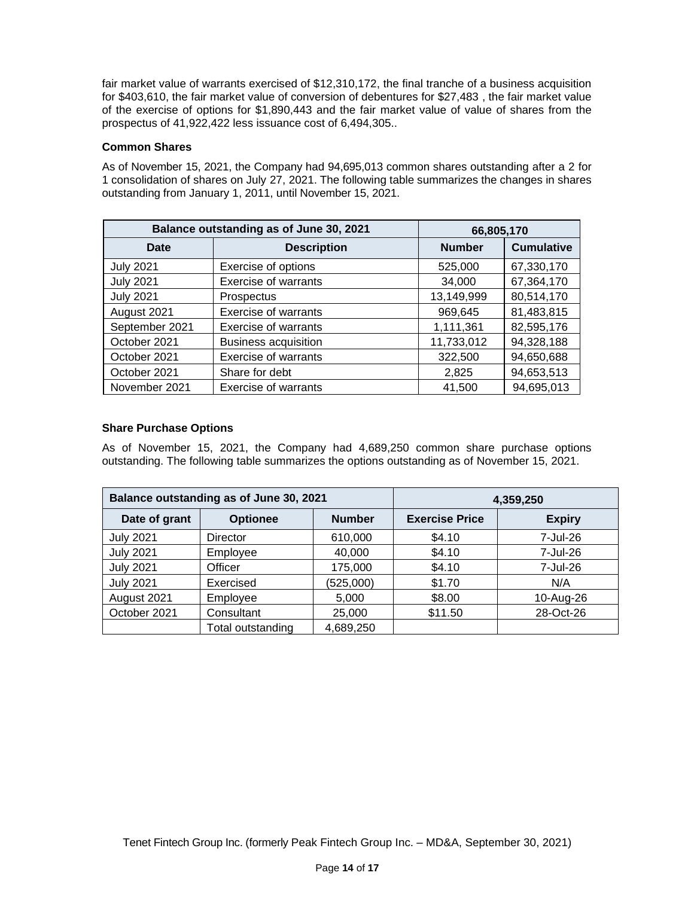fair market value of warrants exercised of \$12,310,172, the final tranche of a business acquisition for \$403,610, the fair market value of conversion of debentures for \$27,483 , the fair market value of the exercise of options for \$1,890,443 and the fair market value of value of shares from the prospectus of 41,922,422 less issuance cost of 6,494,305..

# **Common Shares**

As of November 15, 2021, the Company had 94,695,013 common shares outstanding after a 2 for 1 consolidation of shares on July 27, 2021. The following table summarizes the changes in shares outstanding from January 1, 2011, until November 15, 2021.

| Balance outstanding as of June 30, 2021 | 66,805,170                  |               |                   |
|-----------------------------------------|-----------------------------|---------------|-------------------|
| Date                                    | <b>Description</b>          | <b>Number</b> | <b>Cumulative</b> |
| <b>July 2021</b>                        | Exercise of options         | 525,000       | 67,330,170        |
| <b>July 2021</b>                        | Exercise of warrants        | 34,000        | 67,364,170        |
| <b>July 2021</b>                        | Prospectus                  | 13,149,999    | 80,514,170        |
| August 2021                             | <b>Exercise of warrants</b> | 969,645       | 81,483,815        |
| September 2021                          | <b>Exercise of warrants</b> | 1,111,361     | 82,595,176        |
| October 2021                            | <b>Business acquisition</b> | 11,733,012    | 94,328,188        |
| October 2021                            | <b>Exercise of warrants</b> | 322,500       | 94,650,688        |
| October 2021                            | Share for debt              | 2,825         | 94,653,513        |
| November 2021                           | <b>Exercise of warrants</b> | 41,500        | 94,695,013        |

### **Share Purchase Options**

As of November 15, 2021, the Company had 4,689,250 common share purchase options outstanding. The following table summarizes the options outstanding as of November 15, 2021.

| Balance outstanding as of June 30, 2021 |                   |               |                       | 4,359,250     |  |  |
|-----------------------------------------|-------------------|---------------|-----------------------|---------------|--|--|
| Date of grant                           | <b>Optionee</b>   | <b>Number</b> | <b>Exercise Price</b> | <b>Expiry</b> |  |  |
| <b>July 2021</b>                        | Director          | 610,000       | \$4.10                | 7-Jul-26      |  |  |
| <b>July 2021</b>                        | Employee          | 40,000        | \$4.10                | 7-Jul-26      |  |  |
| <b>July 2021</b>                        | Officer           | 175,000       | \$4.10                | 7-Jul-26      |  |  |
| <b>July 2021</b>                        | Exercised         | (525,000)     | \$1.70                | N/A           |  |  |
| August 2021                             | Employee          | 5,000         | \$8.00                | 10-Aug-26     |  |  |
| October 2021                            | Consultant        | 25,000        | \$11.50               | 28-Oct-26     |  |  |
|                                         | Total outstanding | 4,689,250     |                       |               |  |  |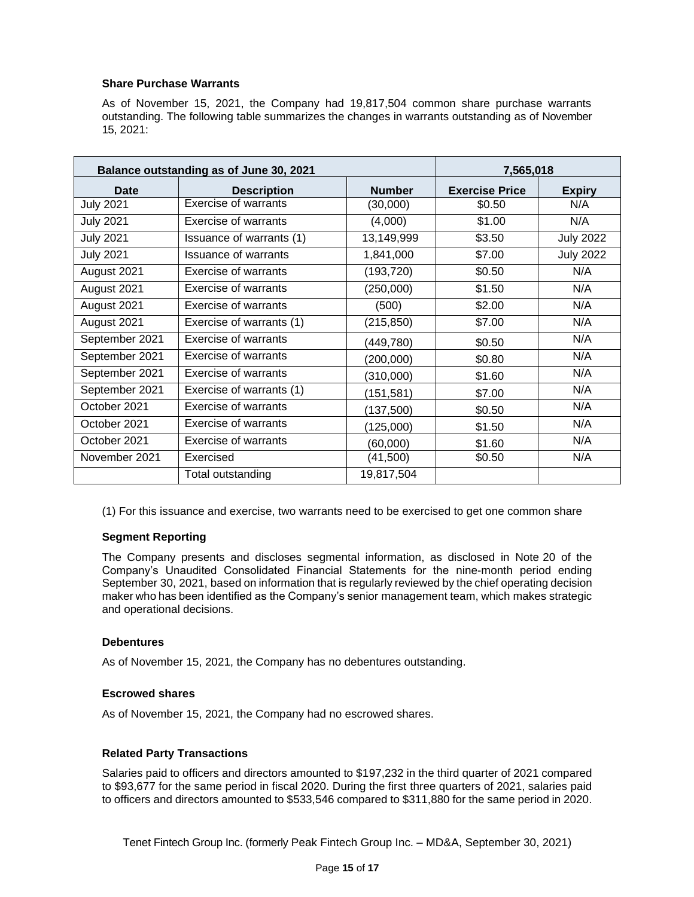### **Share Purchase Warrants**

As of November 15, 2021, the Company had 19,817,504 common share purchase warrants outstanding. The following table summarizes the changes in warrants outstanding as of November 15, 2021:

| Balance outstanding as of June 30, 2021 |                             |               | 7,565,018             |                  |
|-----------------------------------------|-----------------------------|---------------|-----------------------|------------------|
| <b>Date</b>                             | <b>Description</b>          | <b>Number</b> | <b>Exercise Price</b> | <b>Expiry</b>    |
| <b>July 2021</b>                        | <b>Exercise of warrants</b> | (30,000)      | \$0.50                | N/A              |
| <b>July 2021</b>                        | <b>Exercise of warrants</b> | (4,000)       | \$1.00                | N/A              |
| <b>July 2021</b>                        | Issuance of warrants (1)    | 13,149,999    | \$3.50                | <b>July 2022</b> |
| <b>July 2021</b>                        | <b>Issuance of warrants</b> | 1,841,000     | \$7.00                | <b>July 2022</b> |
| August 2021                             | Exercise of warrants        | (193, 720)    | \$0.50                | N/A              |
| August 2021                             | <b>Exercise of warrants</b> | (250,000)     | \$1.50                | N/A              |
| August 2021                             | Exercise of warrants        | (500)         | \$2.00                | N/A              |
| August 2021                             | Exercise of warrants (1)    | (215, 850)    | \$7.00                | N/A              |
| September 2021                          | Exercise of warrants        | (449, 780)    | \$0.50                | N/A              |
| September 2021                          | <b>Exercise of warrants</b> | (200,000)     | \$0.80                | N/A              |
| September 2021                          | Exercise of warrants        | (310,000)     | \$1.60                | N/A              |
| September 2021                          | Exercise of warrants (1)    | (151, 581)    | \$7.00                | N/A              |
| October 2021                            | <b>Exercise of warrants</b> | (137,500)     | \$0.50                | N/A              |
| October 2021                            | Exercise of warrants        | (125,000)     | \$1.50                | N/A              |
| October 2021                            | <b>Exercise of warrants</b> | (60,000)      | \$1.60                | N/A              |
| November 2021                           | Exercised                   | (41,500)      | \$0.50                | N/A              |
|                                         | Total outstanding           | 19,817,504    |                       |                  |

(1) For this issuance and exercise, two warrants need to be exercised to get one common share

# **Segment Reporting**

The Company presents and discloses segmental information, as disclosed in Note 20 of the Company's Unaudited Consolidated Financial Statements for the nine-month period ending September 30, 2021, based on information that is regularly reviewed by the chief operating decision maker who has been identified as the Company's senior management team, which makes strategic and operational decisions.

#### **Debentures**

As of November 15, 2021, the Company has no debentures outstanding.

#### **Escrowed shares**

As of November 15, 2021, the Company had no escrowed shares.

#### **Related Party Transactions**

Salaries paid to officers and directors amounted to \$197,232 in the third quarter of 2021 compared to \$93,677 for the same period in fiscal 2020. During the first three quarters of 2021, salaries paid to officers and directors amounted to \$533,546 compared to \$311,880 for the same period in 2020.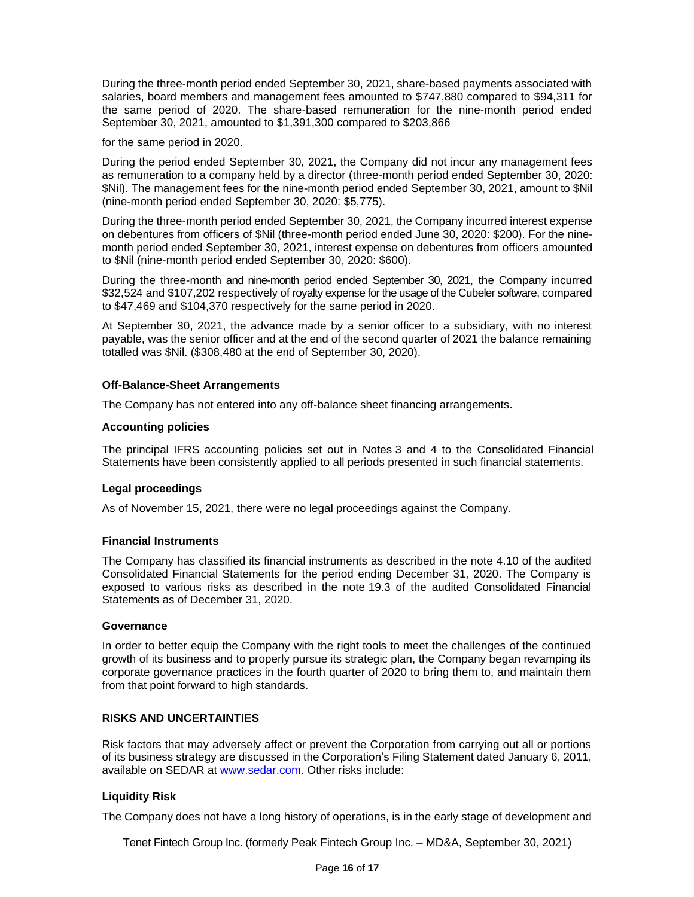During the three-month period ended September 30, 2021, share-based payments associated with salaries, board members and management fees amounted to \$747,880 compared to \$94,311 for the same period of 2020. The share-based remuneration for the nine-month period ended September 30, 2021, amounted to \$1,391,300 compared to \$203,866

for the same period in 2020.

During the period ended September 30, 2021, the Company did not incur any management fees as remuneration to a company held by a director (three-month period ended September 30, 2020: \$Nil). The management fees for the nine-month period ended September 30, 2021, amount to \$Nil (nine-month period ended September 30, 2020: \$5,775).

During the three-month period ended September 30, 2021, the Company incurred interest expense on debentures from officers of \$Nil (three-month period ended June 30, 2020: \$200). For the ninemonth period ended September 30, 2021, interest expense on debentures from officers amounted to \$Nil (nine-month period ended September 30, 2020: \$600).

During the three-month and nine-month period ended September 30, 2021, the Company incurred \$32,524 and \$107,202 respectively of royalty expense for the usage of the Cubeler software, compared to \$47,469 and \$104,370 respectively for the same period in 2020.

At September 30, 2021, the advance made by a senior officer to a subsidiary, with no interest payable, was the senior officer and at the end of the second quarter of 2021 the balance remaining totalled was \$Nil. (\$308,480 at the end of September 30, 2020).

#### **Off-Balance-Sheet Arrangements**

The Company has not entered into any off-balance sheet financing arrangements.

#### **Accounting policies**

The principal IFRS accounting policies set out in Notes 3 and 4 to the Consolidated Financial Statements have been consistently applied to all periods presented in such financial statements.

#### **Legal proceedings**

As of November 15, 2021, there were no legal proceedings against the Company.

#### **Financial Instruments**

The Company has classified its financial instruments as described in the note 4.10 of the audited Consolidated Financial Statements for the period ending December 31, 2020. The Company is exposed to various risks as described in the note 19.3 of the audited Consolidated Financial Statements as of December 31, 2020.

#### **Governance**

In order to better equip the Company with the right tools to meet the challenges of the continued growth of its business and to properly pursue its strategic plan, the Company began revamping its corporate governance practices in the fourth quarter of 2020 to bring them to, and maintain them from that point forward to high standards.

#### **RISKS AND UNCERTAINTIES**

Risk factors that may adversely affect or prevent the Corporation from carrying out all or portions of its business strategy are discussed in the Corporation's Filing Statement dated January 6, 2011, available on SEDAR at [www.sedar.com. O](http://www.sedar.com/)ther risks include:

# **Liquidity Risk**

The Company does not have a long history of operations, is in the early stage of development and